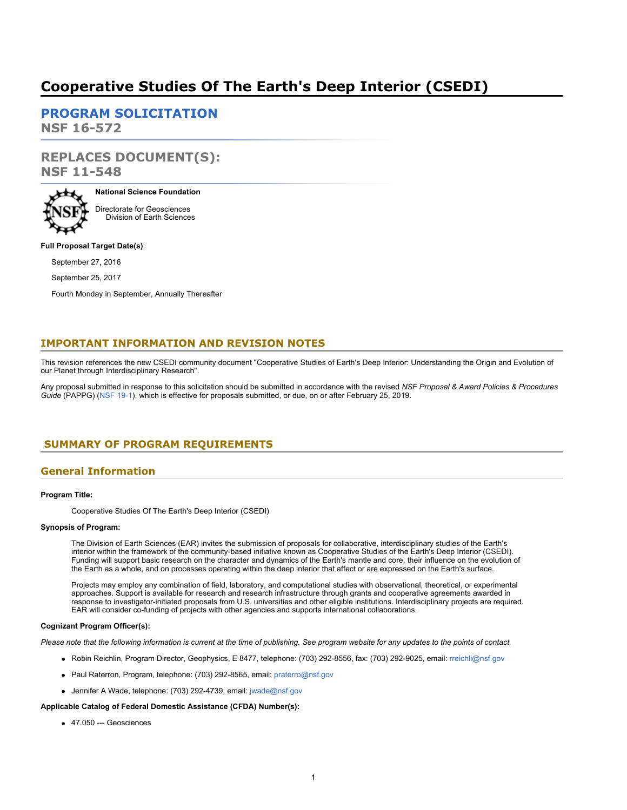# **Cooperative Studies Of The Earth's Deep Interior (CSEDI)**

**[PROGRAM SOLICITATION](#page-2-0) NSF 16-572**

**REPLACES DOCUMENT(S): NSF 11-548**



**National Science Foundation** Directorate for Geosciences Division of Earth Sciences

#### **Full Proposal Target Date(s)**:

September 27, 2016

September 25, 2017

Fourth Monday in September, Annually Thereafter

## **IMPORTANT INFORMATION AND REVISION NOTES**

This revision references the new CSEDI community document "Cooperative Studies of Earth's Deep Interior: Understanding the Origin and Evolution of our Planet through Interdisciplinary Research".

Any proposal submitted in response to this solicitation should be submitted in accordance with the revised *NSF Proposal & Award Policies & Procedures Guide* (PAPPG) [\(NSF 19-1](https://www.nsf.gov/publications/pub_summ.jsp?ods_key=nsf19001)), which is effective for proposals submitted, or due, on or after February 25, 2019.

## <span id="page-0-0"></span>**SUMMARY OF PROGRAM REQUIREMENTS**

### **General Information**

#### **Program Title:**

Cooperative Studies Of The Earth's Deep Interior (CSEDI)

#### **Synopsis of Program:**

The Division of Earth Sciences (EAR) invites the submission of proposals for collaborative, interdisciplinary studies of the Earth's interior within the framework of the community-based initiative known as Cooperative Studies of the Earth's Deep Interior (CSEDI). Funding will support basic research on the character and dynamics of the Earth's mantle and core, their influence on the evolution of the Earth as a whole, and on processes operating within the deep interior that affect or are expressed on the Earth's surface.

Projects may employ any combination of field, laboratory, and computational studies with observational, theoretical, or experimental approaches. Support is available for research and research infrastructure through grants and cooperative agreements awarded in response to investigator-initiated proposals from U.S. universities and other eligible institutions. Interdisciplinary projects are required. EAR will consider co-funding of projects with other agencies and supports international collaborations.

#### **Cognizant Program Officer(s):**

*Please note that the following information is current at the time of publishing. See program website for any updates to the points of contact.*

- Robin Reichlin, Program Director, Geophysics, E 8477, telephone: (703) 292-8556, fax: (703) 292-9025, email: [rreichli@nsf.gov](mailto:rreichli@nsf.gov)
- Paul Raterron, Program, telephone: (703) 292-8565, email: [praterro@nsf.gov](mailto:praterro@nsf.gov)
- Jennifer A. Wade, telephone: (703) 292-4739, email: [jwade@nsf.gov](mailto:jwade@nsf.gov)

#### **Applicable Catalog of Federal Domestic Assistance (CFDA) Number(s):**

47.050 --- Geosciences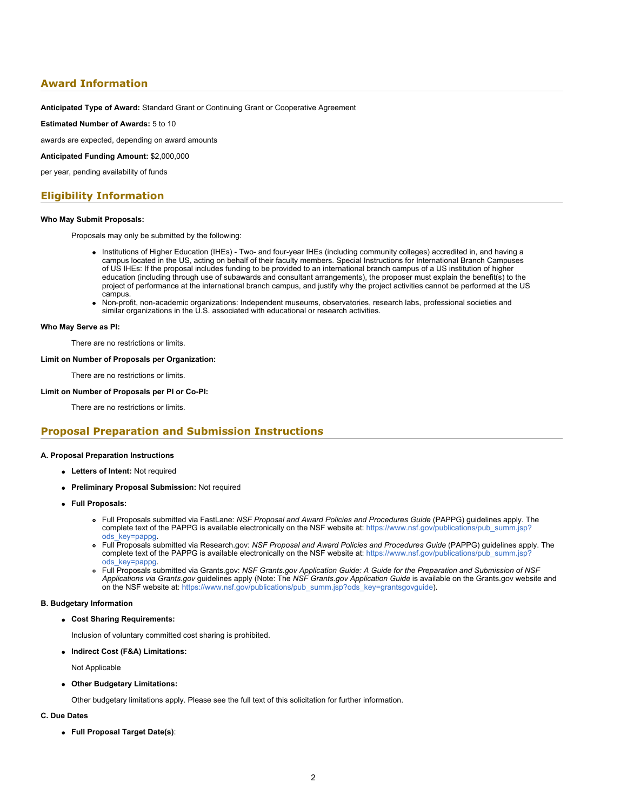## **Award Information**

**Anticipated Type of Award:** Standard Grant or Continuing Grant or Cooperative Agreement

**Estimated Number of Awards:** 5 to 10

awards are expected, depending on award amounts

**Anticipated Funding Amount:** \$2,000,000

per year, pending availability of funds

### **Eligibility Information**

#### **Who May Submit Proposals:**

Proposals may only be submitted by the following:

- Institutions of Higher Education (IHEs) Two- and four-year IHEs (including community colleges) accredited in, and having a campus located in the US, acting on behalf of their faculty members. Special Instructions for International Branch Campuses of US IHEs: If the proposal includes funding to be provided to an international branch campus of a US institution of higher education (including through use of subawards and consultant arrangements), the proposer must explain the benefit(s) to the project of performance at the international branch campus, and justify why the project activities cannot be performed at the US campus.
- Non-profit, non-academic organizations: Independent museums, observatories, research labs, professional societies and similar organizations in the U.S. associated with educational or research activities.

#### **Who May Serve as PI:**

There are no restrictions or limits.

#### **Limit on Number of Proposals per Organization:**

There are no restrictions or limits.

#### **Limit on Number of Proposals per PI or Co-PI:**

There are no restrictions or limits.

### **Proposal Preparation and Submission Instructions**

#### **A. Proposal Preparation Instructions**

- **Letters of Intent:** Not required
- **Preliminary Proposal Submission:** Not required
- **Full Proposals:**
	- Full Proposals submitted via FastLane: *NSF Proposal and Award Policies and Procedures Guide* (PAPPG) guidelines apply. The complete text of the PAPPG is available electronically on the NSF website at: [https://www.nsf.gov/publications/pub\\_summ.jsp?](https://www.nsf.gov/publications/pub_summ.jsp?ods_key=pappg) [ods\\_key=pappg.](https://www.nsf.gov/publications/pub_summ.jsp?ods_key=pappg)
	- Full Proposals submitted via Research.gov: *NSF Proposal and Award Policies and Procedures Guide* (PAPPG) guidelines apply. The complete text of the PAPPG is available electronically on the NSF website at: [https://www.nsf.gov/publications/pub\\_summ.jsp?](https://www.nsf.gov/publications/pub_summ.jsp?ods_key=pappg) [ods\\_key=pappg.](https://www.nsf.gov/publications/pub_summ.jsp?ods_key=pappg)
	- Full Proposals submitted via Grants.gov: *NSF Grants.gov Application Guide: A Guide for the Preparation and Submission of NSF Applications via Grants.gov* guidelines apply (Note: The *NSF Grants.gov Application Guide* is available on the Grants.gov website and on the NSF website at: [https://www.nsf.gov/publications/pub\\_summ.jsp?ods\\_key=grantsgovguide](https://www.nsf.gov/publications/pub_summ.jsp?ods_key=grantsgovguide)).

#### **B. Budgetary Information**

**Cost Sharing Requirements:**

Inclusion of voluntary committed cost sharing is prohibited.

**Indirect Cost (F&A) Limitations:**

Not Applicable

**Other Budgetary Limitations:**

Other budgetary limitations apply. Please see the full text of this solicitation for further information.

#### **C. Due Dates**

**Full Proposal Target Date(s)**: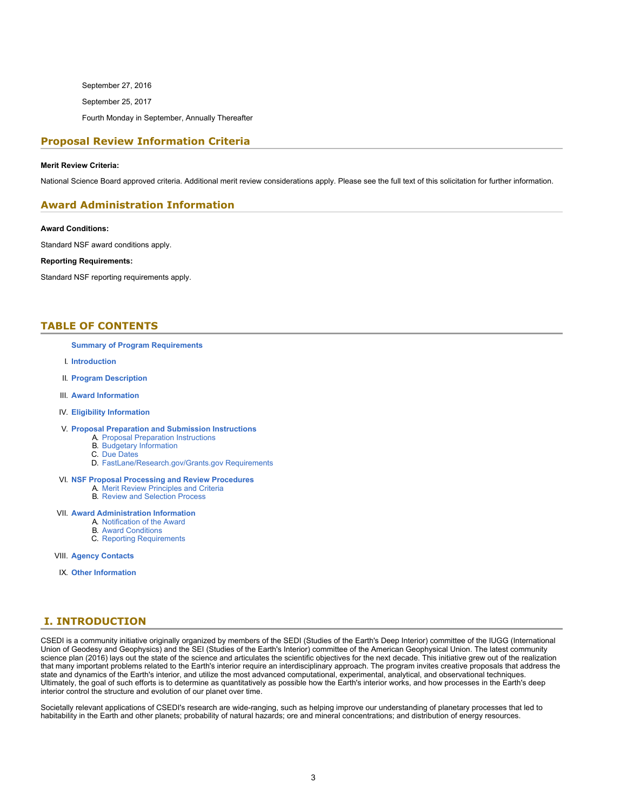September 27, 2016 September 25, 2017 Fourth Monday in September, Annually Thereafter

## **Proposal Review Information Criteria**

#### **Merit Review Criteria:**

National Science Board approved criteria. Additional merit review considerations apply. Please see the full text of this solicitation for further information.

### **Award Administration Information**

**Award Conditions:**

Standard NSF award conditions apply.

#### **Reporting Requirements:**

Standard NSF reporting requirements apply.

### <span id="page-2-0"></span>**TABLE OF CONTENTS**

#### **[Summary of Program Requirements](#page-0-0)**

- I. **[Introduction](#page-2-1)**
- II. **[Program Description](#page-3-0)**
- III. **[Award Information](#page-3-1)**
- IV. **[Eligibility Information](#page-3-2)**
- V. **[Proposal Preparation and Submission Instructions](#page-4-0)**
	- A. [Proposal Preparation Instructions](#page-4-0)
	- B. [Budgetary Information](#page-4-1) C. [Due Dates](#page-4-2)
	-
	- D. [FastLane/Research.gov/Grants.gov Requirements](#page-5-0)
- VI. **[NSF Proposal Processing and Review Procedures](#page-5-1)**
	- A. [Merit Review Principles and Criteria](#page-6-0)
	- B. [Review and Selection Process](#page-7-0)
- VII. **[Award Administration Information](#page-7-1)**
	- A. [Notification of the Award](#page-7-2)
	- B. [Award Conditions](#page-7-3)
	- C. [Reporting Requirements](#page-7-4)
- VIII. **[Agency Contacts](#page-8-0)**
- IX. **[Other Information](#page-8-1)**

## <span id="page-2-1"></span>**I. INTRODUCTION**

CSEDI is a community initiative originally organized by members of the SEDI (Studies of the Earth's Deep Interior) committee of the IUGG (International Union of Geodesy and Geophysics) and the SEI (Studies of the Earth's Interior) committee of the American Geophysical Union. The latest community science plan (2016) lays out the state of the science and articulates the scientific objectives for the next decade. This initiative grew out of the realization that many important problems related to the Earth's interior require an interdisciplinary approach. The program invites creative proposals that address the state and dynamics of the Earth's interior, and utilize the most advanced computational, experimental, analytical, and observational techniques. Ultimately, the goal of such efforts is to determine as quantitatively as possible how the Earth's interior works, and how processes in the Earth's deep interior control the structure and evolution of our planet over time.

Societally relevant applications of CSEDI's research are wide-ranging, such as helping improve our understanding of planetary processes that led to habitability in the Earth and other planets; probability of natural hazards; ore and mineral concentrations; and distribution of energy resources.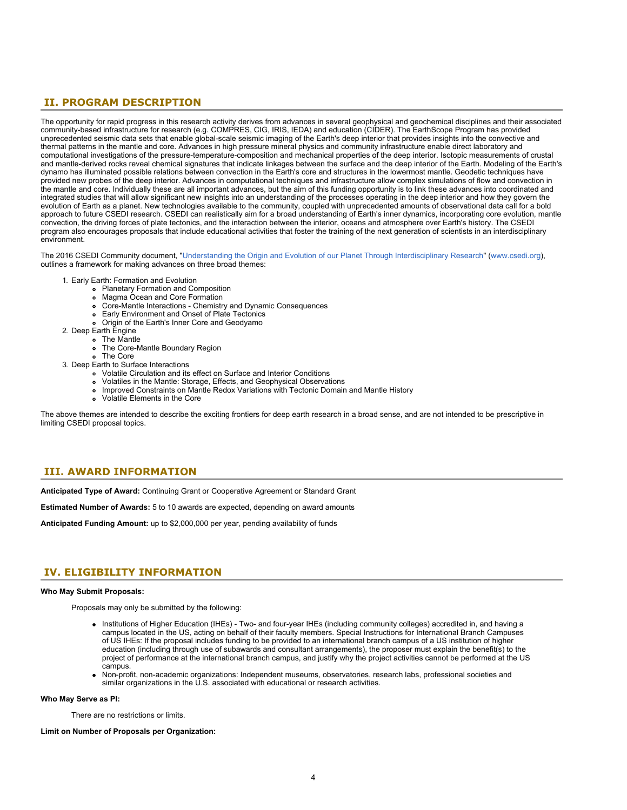## <span id="page-3-0"></span>**II. PROGRAM DESCRIPTION**

The opportunity for rapid progress in this research activity derives from advances in several geophysical and geochemical disciplines and their associated community-based infrastructure for research (e.g. COMPRES, CIG, IRIS, IEDA) and education (CIDER). The EarthScope Program has provided unprecedented seismic data sets that enable global-scale seismic imaging of the Earth's deep interior that provides insights into the convective and thermal patterns in the mantle and core. Advances in high pressure mineral physics and community infrastructure enable direct laboratory and computational investigations of the pressure-temperature-composition and mechanical properties of the deep interior. Isotopic measurements of crustal and mantle-derived rocks reveal chemical signatures that indicate linkages between the surface and the deep interior of the Earth. Modeling of the Earth's dynamo has illuminated possible relations between convection in the Earth's core and structures in the lowermost mantle. Geodetic techniques have provided new probes of the deep interior. Advances in computational techniques and infrastructure allow complex simulations of flow and convection in the mantle and core. Individually these are all important advances, but the aim of this funding opportunity is to link these advances into coordinated and integrated studies that will allow significant new insights into an understanding of the processes operating in the deep interior and how they govern the evolution of Earth as a planet. New technologies available to the community, coupled with unprecedented amounts of observational data call for a bold approach to future CSEDI research. CSEDI can realistically aim for a broad understanding of Earth's inner dynamics, incorporating core evolution, mantle convection, the driving forces of plate tectonics, and the interaction between the interior, oceans and atmosphere over Earth's history. The CSEDI program also encourages proposals that include educational activities that foster the training of the next generation of scientists in an interdisciplinary environment.

The 2016 CSEDI Community document, ["Understanding the Origin and Evolution of our Planet Through Interdisciplinary Research](https://www.nsf.gov/cgi-bin/goodbye?http://csedi.org/2016_Report/CSEDI_Report_2016.pdf)" [\(www.csedi.org](https://www.nsf.gov/cgi-bin/goodbye?http://www.csedi.org/)), outlines a framework for making advances on three broad themes:

- 1. Early Earth: Formation and Evolution
	- Planetary Formation and Composition
	- Magma Ocean and Core Formation
	- Core-Mantle Interactions Chemistry and Dynamic Consequences  $\bullet$
	- Early Environment and Onset of Plate Tectonics  $\bullet$
	- Origin of the Earth's Inner Core and Geodyamo
- 2. Deep Earth Engine
	- The Mantle
	- The Core-Mantle Boundary Region
	- The Core
- 3. Deep Earth to Surface Interactions
	- Volatile Circulation and its effect on Surface and Interior Conditions
	- Volatiles in the Mantle: Storage, Effects, and Geophysical Observations
	- Improved Constraints on Mantle Redox Variations with Tectonic Domain and Mantle History
	- Volatile Elements in the Core

The above themes are intended to describe the exciting frontiers for deep earth research in a broad sense, and are not intended to be prescriptive in limiting CSEDI proposal topics.

## <span id="page-3-1"></span>**III. AWARD INFORMATION**

**Anticipated Type of Award:** Continuing Grant or Cooperative Agreement or Standard Grant

**Estimated Number of Awards:** 5 to 10 awards are expected, depending on award amounts

**Anticipated Funding Amount:** up to \$2,000,000 per year, pending availability of funds

## <span id="page-3-2"></span>**IV. ELIGIBILITY INFORMATION**

#### **Who May Submit Proposals:**

Proposals may only be submitted by the following:

- Institutions of Higher Education (IHEs) Two- and four-year IHEs (including community colleges) accredited in, and having a campus located in the US, acting on behalf of their faculty members. Special Instructions for International Branch Campuses of US IHEs: If the proposal includes funding to be provided to an international branch campus of a US institution of higher education (including through use of subawards and consultant arrangements), the proposer must explain the benefit(s) to the project of performance at the international branch campus, and justify why the project activities cannot be performed at the US campus.
- Non-profit, non-academic organizations: Independent museums, observatories, research labs, professional societies and similar organizations in the U.S. associated with educational or research activities.

#### **Who May Serve as PI:**

There are no restrictions or limits.

**Limit on Number of Proposals per Organization:**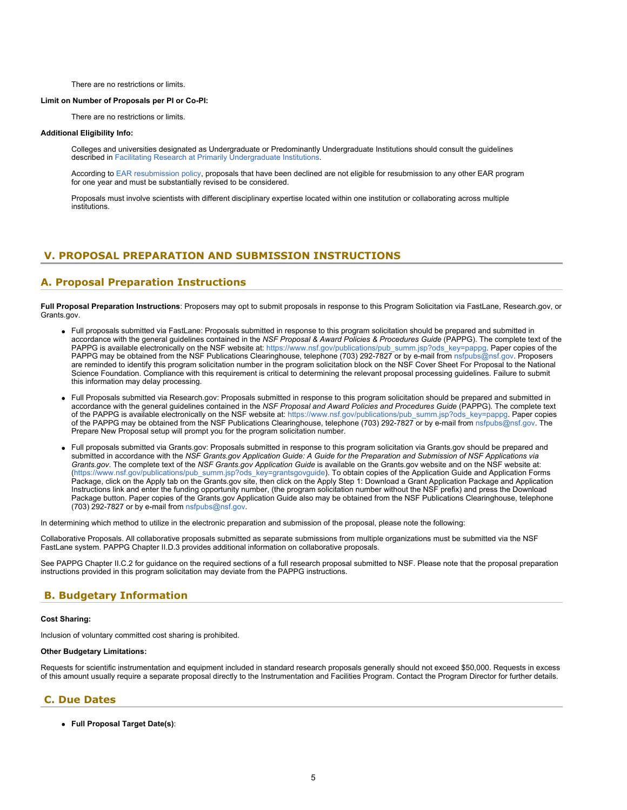There are no restrictions or limits.

#### <span id="page-4-2"></span>**Limit on Number of Proposals per PI or Co-PI:**

There are no restrictions or limits.

#### **Additional Eligibility Info:**

Colleges and universities designated as Undergraduate or Predominantly Undergraduate Institutions should consult the guidelines described in [Facilitating Research at Primarily Undergraduate Institutions.](https://nsf.gov/funding/pgm_summ.jsp?pims_id=5518)

According to [EAR resubmission policy](https://www.nsf.gov/geo/ear/resubmission_policy.jsp), proposals that have been declined are not eligible for resubmission to any other EAR program for one year and must be substantially revised to be considered.

Proposals must involve scientists with different disciplinary expertise located within one institution or collaborating across multiple institutions.

## <span id="page-4-0"></span>**V. PROPOSAL PREPARATION AND SUBMISSION INSTRUCTIONS**

### **A. Proposal Preparation Instructions**

**Full Proposal Preparation Instructions**: Proposers may opt to submit proposals in response to this Program Solicitation via FastLane, Research.gov, or Grants.gov.

- Full proposals submitted via FastLane: Proposals submitted in response to this program solicitation should be prepared and submitted in accordance with the general guidelines contained in the *NSF Proposal & Award Policies & Procedures Guide* (PAPPG). The complete text of the PAPPG is available electronically on the NSF website at: [https://www.nsf.gov/publications/pub\\_summ.jsp?ods\\_key=pappg](https://www.nsf.gov/publications/pub_summ.jsp?ods_key=pappg). Paper copies of the PAPPG may be obtained from the NSF Publications Clearinghouse, telephone (703) 292-7827 or by e-mail from [nsfpubs@nsf.gov](mailto:nsfpubs@nsf.gov). Proposers are reminded to identify this program solicitation number in the program solicitation block on the NSF Cover Sheet For Proposal to the National Science Foundation. Compliance with this requirement is critical to determining the relevant proposal processing guidelines. Failure to submit this information may delay processing.
- Full Proposals submitted via Research.gov: Proposals submitted in response to this program solicitation should be prepared and submitted in accordance with the general guidelines contained in the *NSF Proposal and Award Policies and Procedures Guide* (PAPPG). The complete text of the PAPPG is available electronically on the NSF website at: [https://www.nsf.gov/publications/pub\\_summ.jsp?ods\\_key=pappg](https://www.nsf.gov/publications/pub_summ.jsp?ods_key=pappg). Paper copies of the PAPPG may be obtained from the NSF Publications Clearinghouse, telephone (703) 292-7827 or by e-mail from [nsfpubs@nsf.gov](mailto:nsfpubs@nsf.gov). The Prepare New Proposal setup will prompt you for the program solicitation number.
- Full proposals submitted via Grants.gov: Proposals submitted in response to this program solicitation via Grants.gov should be prepared and submitted in accordance with the *NSF Grants.gov Application Guide: A Guide for the Preparation and Submission of NSF Applications via Grants.gov*. The complete text of the *NSF Grants.gov Application Guide* is available on the Grants.gov website and on the NSF website at: [\(https://www.nsf.gov/publications/pub\\_summ.jsp?ods\\_key=grantsgovguide](https://www.nsf.gov/publications/pub_summ.jsp?ods_key=grantsgovguide)). To obtain copies of the Application Guide and Application Forms Package, click on the Apply tab on the Grants.gov site, then click on the Apply Step 1: Download a Grant Application Package and Application Instructions link and enter the funding opportunity number, (the program solicitation number without the NSF prefix) and press the Download Package button. Paper copies of the Grants.gov Application Guide also may be obtained from the NSF Publications Clearinghouse, telephone (703) 292-7827 or by e-mail from [nsfpubs@nsf.gov](mailto:nsfpubs@nsf.gov).

In determining which method to utilize in the electronic preparation and submission of the proposal, please note the following:

Collaborative Proposals. All collaborative proposals submitted as separate submissions from multiple organizations must be submitted via the NSF FastLane system. PAPPG Chapter II.D.3 provides additional information on collaborative proposals.

See PAPPG Chapter II.C.2 for guidance on the required sections of a full research proposal submitted to NSF. Please note that the proposal preparation instructions provided in this program solicitation may deviate from the PAPPG instructions.

## <span id="page-4-1"></span>**B. Budgetary Information**

#### **Cost Sharing:**

Inclusion of voluntary committed cost sharing is prohibited.

#### **Other Budgetary Limitations:**

Requests for scientific instrumentation and equipment included in standard research proposals generally should not exceed \$50,000. Requests in excess of this amount usually require a separate proposal directly to the Instrumentation and Facilities Program. Contact the Program Director for further details.

#### **C. Due Dates**

**Full Proposal Target Date(s)**: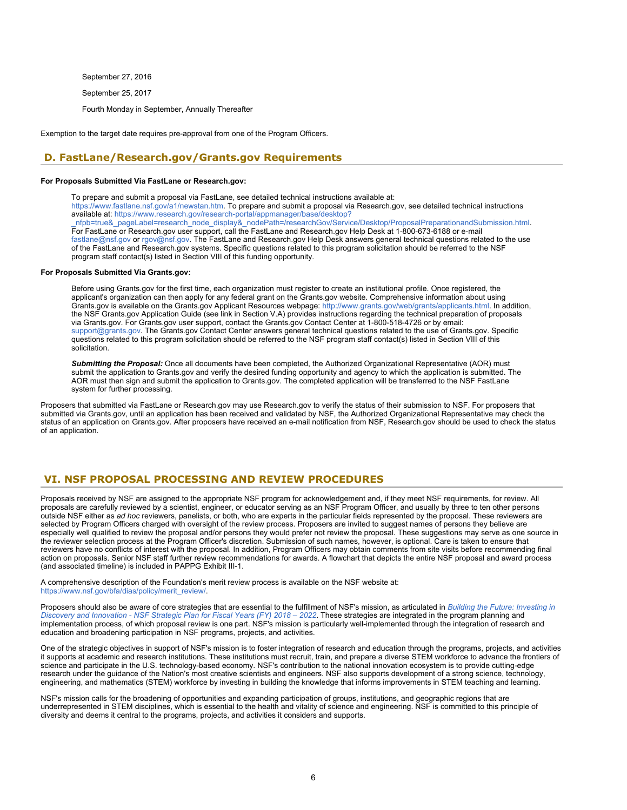September 27, 2016

September 25, 2017

Fourth Monday in September, Annually Thereafter

Exemption to the target date requires pre-approval from one of the Program Officers.

## <span id="page-5-0"></span>**D. FastLane/Research.gov/Grants.gov Requirements**

#### **For Proposals Submitted Via FastLane or Research.gov:**

To prepare and submit a proposal via FastLane, see detailed technical instructions available at: <https://www.fastlane.nsf.gov/a1/newstan.htm>. To prepare and submit a proposal via Research.gov, see detailed technical instructions available at: [https://www.research.gov/research-portal/appmanager/base/desktop?](https://www.research.gov/research-portal/appmanager/base/desktop?_nfpb=true&_pageLabel=research_node_display&_nodePath=/researchGov/Service/Desktop/ProposalPreparationandSubmission.html) [\\_nfpb=true&\\_pageLabel=research\\_node\\_display&\\_nodePath=/researchGov/Service/Desktop/ProposalPreparationandSubmission.html](https://www.research.gov/research-portal/appmanager/base/desktop?_nfpb=true&_pageLabel=research_node_display&_nodePath=/researchGov/Service/Desktop/ProposalPreparationandSubmission.html). For FastLane or Research.gov user support, call the FastLane and Research.gov Help Desk at 1-800-673-6188 or e-mail [fastlane@nsf.gov](mailto:fastlane@nsf.gov) or [rgov@nsf.gov](mailto:rgov@nsf.gov). The FastLane and Research.gov Help Desk answers general technical questions related to the use of the FastLane and Research.gov systems. Specific questions related to this program solicitation should be referred to the NSF program staff contact(s) listed in Section VIII of this funding opportunity.

#### **For Proposals Submitted Via Grants.gov:**

Before using Grants.gov for the first time, each organization must register to create an institutional profile. Once registered, the applicant's organization can then apply for any federal grant on the Grants.gov website. Comprehensive information about using Grants.gov is available on the Grants.gov Applicant Resources webpage: https[://www.grants.gov/web/grants/applicants.html.](https://www.grants.gov/web/grants/applicants.html) In addition, the NSF Grants.gov Application Guide (see link in Section V.A) provides instructions regarding the technical preparation of proposals via Grants.gov. For Grants.gov user support, contact the Grants.gov Contact Center at 1-800-518-4726 or by email: [support@grants.gov.](mailto:support@grants.gov) The Grants.gov Contact Center answers general technical questions related to the use of Grants.gov. Specific questions related to this program solicitation should be referred to the NSF program staff contact(s) listed in Section VIII of this solicitation.

*Submitting the Proposal:* Once all documents have been completed, the Authorized Organizational Representative (AOR) must submit the application to Grants.gov and verify the desired funding opportunity and agency to which the application is submitted. The AOR must then sign and submit the application to Grants.gov. The completed application will be transferred to the NSF FastLane system for further processing.

Proposers that submitted via FastLane or Research.gov may use Research.gov to verify the status of their submission to NSF. For proposers that submitted via Grants.gov, until an application has been received and validated by NSF, the Authorized Organizational Representative may check the status of an application on Grants.gov. After proposers have received an e-mail notification from NSF, Research.gov should be used to check the status of an application.

## <span id="page-5-1"></span>**VI. NSF PROPOSAL PROCESSING AND REVIEW PROCEDURES**

Proposals received by NSF are assigned to the appropriate NSF program for acknowledgement and, if they meet NSF requirements, for review. All proposals are carefully reviewed by a scientist, engineer, or educator serving as an NSF Program Officer, and usually by three to ten other persons outside NSF either as *ad hoc* reviewers, panelists, or both, who are experts in the particular fields represented by the proposal. These reviewers are selected by Program Officers charged with oversight of the review process. Proposers are invited to suggest names of persons they believe are especially well qualified to review the proposal and/or persons they would prefer not review the proposal. These suggestions may serve as one source in the reviewer selection process at the Program Officer's discretion. Submission of such names, however, is optional. Care is taken to ensure that reviewers have no conflicts of interest with the proposal. In addition, Program Officers may obtain comments from site visits before recommending final action on proposals. Senior NSF staff further review recommendations for awards. A flowchart that depicts the entire NSF proposal and award process (and associated timeline) is included in PAPPG Exhibit III-1.

A comprehensive description of the Foundation's merit review process is available on the NSF website at: [https://www.nsf.gov/bfa/dias/policy/merit\\_review/](https://www.nsf.gov/bfa/dias/policy/merit_review/).

Proposers should also be aware of core strategies that are essential to the fulfillment of NSF's mission, as articulated in *[Building the Future: Investing in](https://www.nsf.gov/publications/pub_summ.jsp?ods_key=nsf18045&org=NSF) [Discovery and Innovation - NSF Strategic Plan for Fiscal Years \(FY\) 2018 – 2022](https://www.nsf.gov/publications/pub_summ.jsp?ods_key=nsf18045&org=NSF)*. These strategies are integrated in the program planning and implementation process, of which proposal review is one part. NSF's mission is particularly well-implemented through the integration of research and education and broadening participation in NSF programs, projects, and activities.

One of the strategic objectives in support of NSF's mission is to foster integration of research and education through the programs, projects, and activities it supports at academic and research institutions. These institutions must recruit, train, and prepare a diverse STEM workforce to advance the frontiers of science and participate in the U.S. technology-based economy. NSF's contribution to the national innovation ecosystem is to provide cutting-edge research under the guidance of the Nation's most creative scientists and engineers. NSF also supports development of a strong science, technology, engineering, and mathematics (STEM) workforce by investing in building the knowledge that informs improvements in STEM teaching and learning.

NSF's mission calls for the broadening of opportunities and expanding participation of groups, institutions, and geographic regions that are underrepresented in STEM disciplines, which is essential to the health and vitality of science and engineering. NSF is committed to this principle of diversity and deems it central to the programs, projects, and activities it considers and supports.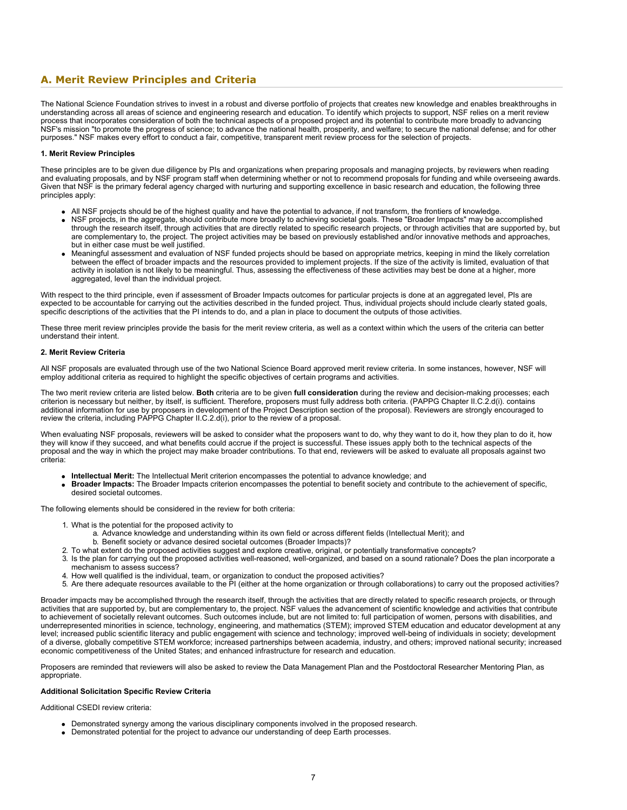## <span id="page-6-0"></span>**A. Merit Review Principles and Criteria**

The National Science Foundation strives to invest in a robust and diverse portfolio of projects that creates new knowledge and enables breakthroughs in understanding across all areas of science and engineering research and education. To identify which projects to support, NSF relies on a merit review process that incorporates consideration of both the technical aspects of a proposed project and its potential to contribute more broadly to advancing NSF's mission "to promote the progress of science; to advance the national health, prosperity, and welfare; to secure the national defense; and for other purposes." NSF makes every effort to conduct a fair, competitive, transparent merit review process for the selection of projects.

#### **1. Merit Review Principles**

These principles are to be given due diligence by PIs and organizations when preparing proposals and managing projects, by reviewers when reading and evaluating proposals, and by NSF program staff when determining whether or not to recommend proposals for funding and while overseeing awards. Given that NSF is the primary federal agency charged with nurturing and supporting excellence in basic research and education, the following three principles apply:

- All NSF projects should be of the highest quality and have the potential to advance, if not transform, the frontiers of knowledge.
- NSF projects, in the aggregate, should contribute more broadly to achieving societal goals. These "Broader Impacts" may be accomplished through the research itself, through activities that are directly related to specific research projects, or through activities that are supported by, but are complementary to, the project. The project activities may be based on previously established and/or innovative methods and approaches, but in either case must be well justified.
- Meaningful assessment and evaluation of NSF funded projects should be based on appropriate metrics, keeping in mind the likely correlation between the effect of broader impacts and the resources provided to implement projects. If the size of the activity is limited, evaluation of that activity in isolation is not likely to be meaningful. Thus, assessing the effectiveness of these activities may best be done at a higher, more aggregated, level than the individual project.

With respect to the third principle, even if assessment of Broader Impacts outcomes for particular projects is done at an aggregated level, PIs are expected to be accountable for carrying out the activities described in the funded project. Thus, individual projects should include clearly stated goals, specific descriptions of the activities that the PI intends to do, and a plan in place to document the outputs of those activities.

These three merit review principles provide the basis for the merit review criteria, as well as a context within which the users of the criteria can better understand their intent.

#### **2. Merit Review Criteria**

All NSF proposals are evaluated through use of the two National Science Board approved merit review criteria. In some instances, however, NSF will employ additional criteria as required to highlight the specific objectives of certain programs and activities.

The two merit review criteria are listed below. **Both** criteria are to be given **full consideration** during the review and decision-making processes; each criterion is necessary but neither, by itself, is sufficient. Therefore, proposers must fully address both criteria. (PAPPG Chapter II.C.2.d(i). contains additional information for use by proposers in development of the Project Description section of the proposal). Reviewers are strongly encouraged to review the criteria, including PAPPG Chapter II.C.2.d(i), prior to the review of a proposal.

When evaluating NSF proposals, reviewers will be asked to consider what the proposers want to do, why they want to do it, how they plan to do it, how they will know if they succeed, and what benefits could accrue if the project is successful. These issues apply both to the technical aspects of the proposal and the way in which the project may make broader contributions. To that end, reviewers will be asked to evaluate all proposals against two criteria:

- **Intellectual Merit:** The Intellectual Merit criterion encompasses the potential to advance knowledge; and
- **Broader Impacts:** The Broader Impacts criterion encompasses the potential to benefit society and contribute to the achievement of specific, desired societal outcomes.

The following elements should be considered in the review for both criteria:

- 1. What is the potential for the proposed activity to
	- a. Advance knowledge and understanding within its own field or across different fields (Intellectual Merit); and
	- b. Benefit society or advance desired societal outcomes (Broader Impacts)?
- 2. To what extent do the proposed activities suggest and explore creative, original, or potentially transformative concepts?
- 3. Is the plan for carrying out the proposed activities well-reasoned, well-organized, and based on a sound rationale? Does the plan incorporate a mechanism to assess success?
- 4. How well qualified is the individual, team, or organization to conduct the proposed activities?
- 5. Are there adequate resources available to the PI (either at the home organization or through collaborations) to carry out the proposed activities?

Broader impacts may be accomplished through the research itself, through the activities that are directly related to specific research projects, or through activities that are supported by, but are complementary to, the project. NSF values the advancement of scientific knowledge and activities that contribute to achievement of societally relevant outcomes. Such outcomes include, but are not limited to: full participation of women, persons with disabilities, and underrepresented minorities in science, technology, engineering, and mathematics (STEM); improved STEM education and educator development at any level; increased public scientific literacy and public engagement with science and technology; improved well-being of individuals in society; development of a diverse, globally competitive STEM workforce; increased partnerships between academia, industry, and others; improved national security; increased economic competitiveness of the United States; and enhanced infrastructure for research and education.

Proposers are reminded that reviewers will also be asked to review the Data Management Plan and the Postdoctoral Researcher Mentoring Plan, as appropriate.

#### **Additional Solicitation Specific Review Criteria**

Additional CSEDI review criteria:

- Demonstrated synergy among the various disciplinary components involved in the proposed research.
- Demonstrated potential for the project to advance our understanding of deep Earth processes.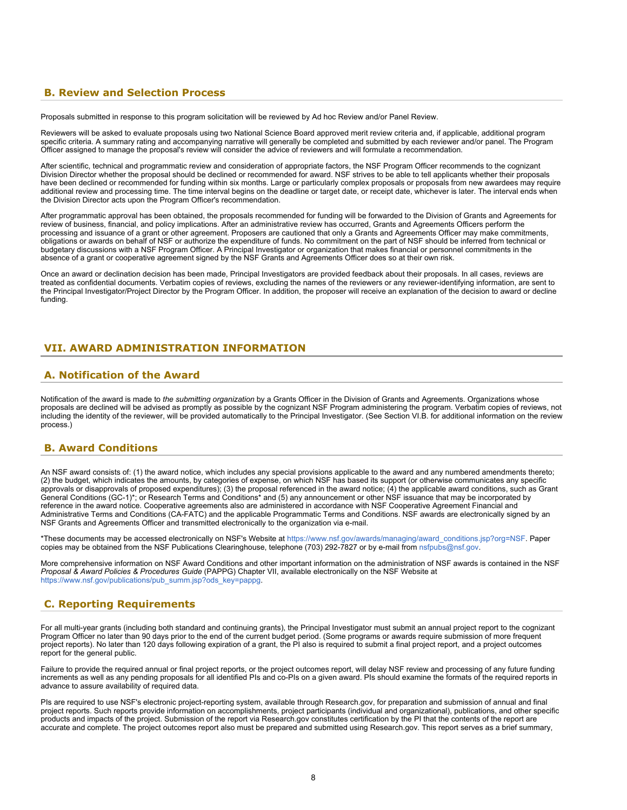## <span id="page-7-0"></span>**B. Review and Selection Process**

Proposals submitted in response to this program solicitation will be reviewed by Ad hoc Review and/or Panel Review.

Reviewers will be asked to evaluate proposals using two National Science Board approved merit review criteria and, if applicable, additional program specific criteria. A summary rating and accompanying narrative will generally be completed and submitted by each reviewer and/or panel. The Program Officer assigned to manage the proposal's review will consider the advice of reviewers and will formulate a recommendation.

After scientific, technical and programmatic review and consideration of appropriate factors, the NSF Program Officer recommends to the cognizant Division Director whether the proposal should be declined or recommended for award. NSF strives to be able to tell applicants whether their proposals have been declined or recommended for funding within six months. Large or particularly complex proposals or proposals from new awardees may require additional review and processing time. The time interval begins on the deadline or target date, or receipt date, whichever is later. The interval ends when the Division Director acts upon the Program Officer's recommendation.

After programmatic approval has been obtained, the proposals recommended for funding will be forwarded to the Division of Grants and Agreements for review of business, financial, and policy implications. After an administrative review has occurred, Grants and Agreements Officers perform the processing and issuance of a grant or other agreement. Proposers are cautioned that only a Grants and Agreements Officer may make commitments, obligations or awards on behalf of NSF or authorize the expenditure of funds. No commitment on the part of NSF should be inferred from technical or budgetary discussions with a NSF Program Officer. A Principal Investigator or organization that makes financial or personnel commitments in the absence of a grant or cooperative agreement signed by the NSF Grants and Agreements Officer does so at their own risk.

Once an award or declination decision has been made, Principal Investigators are provided feedback about their proposals. In all cases, reviews are treated as confidential documents. Verbatim copies of reviews, excluding the names of the reviewers or any reviewer-identifying information, are sent to the Principal Investigator/Project Director by the Program Officer. In addition, the proposer will receive an explanation of the decision to award or decline funding.

## <span id="page-7-1"></span>**VII. AWARD ADMINISTRATION INFORMATION**

### <span id="page-7-2"></span>**A. Notification of the Award**

Notification of the award is made to the submitting organization by a Grants Officer in the Division of Grants and Agreements. Organizations whose proposals are declined will be advised as promptly as possible by the cognizant NSF Program administering the program. Verbatim copies of reviews, not including the identity of the reviewer, will be provided automatically to the Principal Investigator. (See Section VI.B. for additional information on the review process.)

### <span id="page-7-3"></span>**B. Award Conditions**

An NSF award consists of: (1) the award notice, which includes any special provisions applicable to the award and any numbered amendments thereto; (2) the budget, which indicates the amounts, by categories of expense, on which NSF has based its support (or otherwise communicates any specific approvals or disapprovals of proposed expenditures); (3) the proposal referenced in the award notice; (4) the applicable award conditions, such as Grant General Conditions (GC-1)\*; or Research Terms and Conditions\* and (5) any announcement or other NSF issuance that may be incorporated by reference in the award notice. Cooperative agreements also are administered in accordance with NSF Cooperative Agreement Financial and Administrative Terms and Conditions (CA-FATC) and the applicable Programmatic Terms and Conditions. NSF awards are electronically signed by an NSF Grants and Agreements Officer and transmitted electronically to the organization via e-mail.

\*These documents may be accessed electronically on NSF's Website at [https://www.nsf.gov/awards/managing/award\\_conditions.jsp?org=NSF](https://www.nsf.gov/awards/managing/award_conditions.jsp?org=NSF). Paper copies may be obtained from the NSF Publications Clearinghouse, telephone (703) 292-7827 or by e-mail from [nsfpubs@nsf.gov.](mailto:nsfpubs@nsf.gov)

More comprehensive information on NSF Award Conditions and other important information on the administration of NSF awards is contained in the NSF *Proposal & Award Policies & Procedures Guide* (PAPPG) Chapter VII, available electronically on the NSF Website at [https://www.nsf.gov/publications/pub\\_summ.jsp?ods\\_key=pappg.](https://www.nsf.gov/publications/pub_summ.jsp?ods_key=pappg)

## <span id="page-7-4"></span>**C. Reporting Requirements**

For all multi-year grants (including both standard and continuing grants), the Principal Investigator must submit an annual project report to the cognizant Program Officer no later than 90 days prior to the end of the current budget period. (Some programs or awards require submission of more frequent project reports). No later than 120 days following expiration of a grant, the PI also is required to submit a final project report, and a project outcomes report for the general public.

Failure to provide the required annual or final project reports, or the project outcomes report, will delay NSF review and processing of any future funding increments as well as any pending proposals for all identified PIs and co-PIs on a given award. PIs should examine the formats of the required reports in advance to assure availability of required data.

PIs are required to use NSF's electronic project-reporting system, available through Research.gov, for preparation and submission of annual and final project reports. Such reports provide information on accomplishments, project participants (individual and organizational), publications, and other specific products and impacts of the project. Submission of the report via Research.gov constitutes certification by the PI that the contents of the report are accurate and complete. The project outcomes report also must be prepared and submitted using Research.gov. This report serves as a brief summary,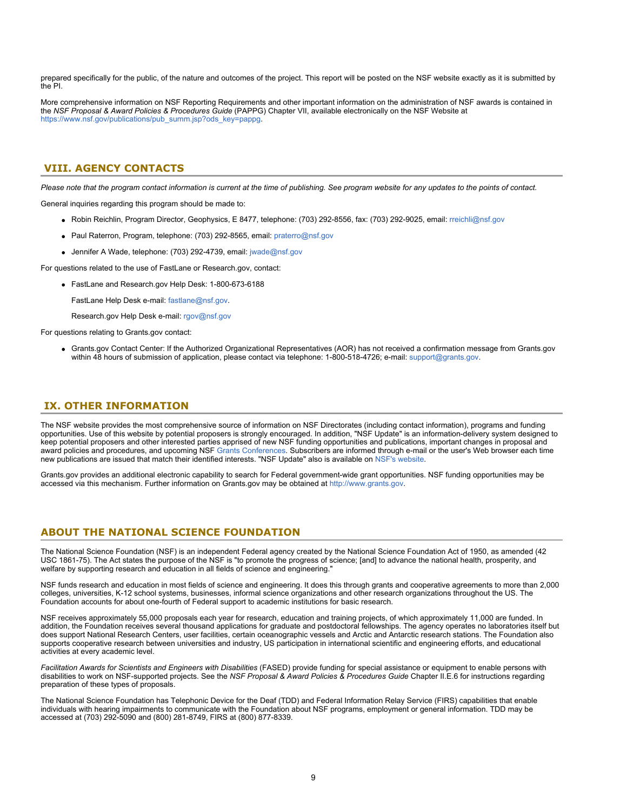prepared specifically for the public, of the nature and outcomes of the project. This report will be posted on the NSF website exactly as it is submitted by the PI.

More comprehensive information on NSF Reporting Requirements and other important information on the administration of NSF awards is contained in the *NSF Proposal & Award Policies & Procedures Guide* (PAPPG) Chapter VII, available electronically on the NSF Website at [https://www.nsf.gov/publications/pub\\_summ.jsp?ods\\_key=pappg.](https://www.nsf.gov/publications/pub_summ.jsp?ods_key=pappg)

## <span id="page-8-0"></span>**VIII. AGENCY CONTACTS**

*Please note that the program contact information is current at the time of publishing. See program website for any updates to the points of contact.*

General inquiries regarding this program should be made to:

- Robin Reichlin, Program Director, Geophysics, E 8477, telephone: (703) 292-8556, fax: (703) 292-9025, email: [rreichli@nsf.gov](mailto:rreichli@nsf.gov)
- Paul Raterron, Program, telephone: (703) 292-8565, email: [praterro@nsf.gov](mailto:praterro@nsf.gov)
- Jennifer A. Wade, telephone: (703) 292-4739, email: [jwade@nsf.gov](mailto:jwade@nsf.gov)

For questions related to the use of FastLane or Research gov, contact:

FastLane and Research.gov Help Desk: 1-800-673-6188

FastLane Help Desk e-mail: [fastlane@nsf.gov](mailto:fastlane@nsf.gov).

Research.gov Help Desk e-mail: [rgov@nsf.gov](mailto:rgov@nsf.gov)

For questions relating to Grants.gov contact:

Grants.gov Contact Center: If the Authorized Organizational Representatives (AOR) has not received a confirmation message from Grants.gov within 48 hours of submission of application, please contact via telephone: 1-800-518-4726; e-mail: [support@grants.gov.](mailto:support@grants.gov)

### <span id="page-8-1"></span>**IX. OTHER INFORMATION**

The NSF website provides the most comprehensive source of information on NSF Directorates (including contact information), programs and funding opportunities. Use of this website by potential proposers is strongly encouraged. In addition, "NSF Update" is an information-delivery system designed to keep potential proposers and other interested parties apprised of new NSF funding opportunities and publications, important changes in proposal and award policies and procedures, and upcoming NSF [Grants Conferences](https://www.nsf.gov/bfa/dias/policy/outreach.jsp). Subscribers are informed through e-mail or the user's Web browser each time new publications are issued that match their identified interests. "NSF Update" also is available on [NSF's website](https://www.nsf.gov/cgi-bin/goodbye?https://public.govdelivery.com/accounts/USNSF/subscriber/new?topic_id=USNSF_179).

Grants.gov provides an additional electronic capability to search for Federal government-wide grant opportunities. NSF funding opportunities may be accessed via this mechanism. Further information on Grants.gov may be obtained at https[://www.grants.gov.](https://www.grants.gov/)

## **ABOUT THE NATIONAL SCIENCE FOUNDATION**

The National Science Foundation (NSF) is an independent Federal agency created by the National Science Foundation Act of 1950, as amended (42 USC 1861-75). The Act states the purpose of the NSF is "to promote the progress of science; [and] to advance the national health, prosperity, and welfare by supporting research and education in all fields of science and engineering."

NSF funds research and education in most fields of science and engineering. It does this through grants and cooperative agreements to more than 2,000 colleges, universities, K-12 school systems, businesses, informal science organizations and other research organizations throughout the US. The Foundation accounts for about one-fourth of Federal support to academic institutions for basic research.

NSF receives approximately 55,000 proposals each year for research, education and training projects, of which approximately 11,000 are funded. In addition, the Foundation receives several thousand applications for graduate and postdoctoral fellowships. The agency operates no laboratories itself but does support National Research Centers, user facilities, certain oceanographic vessels and Arctic and Antarctic research stations. The Foundation also supports cooperative research between universities and industry, US participation in international scientific and engineering efforts, and educational activities at every academic level.

*Facilitation Awards for Scientists and Engineers with Disabilities* (FASED) provide funding for special assistance or equipment to enable persons with disabilities to work on NSF-supported projects. See the *NSF Proposal & Award Policies & Procedures Guide* Chapter II.E.6 for instructions regarding preparation of these types of proposals.

The National Science Foundation has Telephonic Device for the Deaf (TDD) and Federal Information Relay Service (FIRS) capabilities that enable individuals with hearing impairments to communicate with the Foundation about NSF programs, employment or general information. TDD may be accessed at (703) 292-5090 and (800) 281-8749, FIRS at (800) 877-8339.